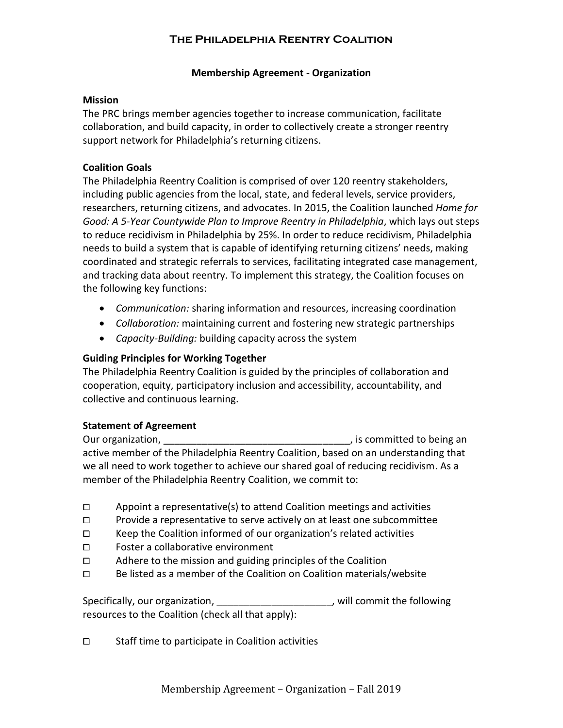#### **Membership Agreement - Organization**

#### **Mission**

The PRC brings member agencies together to increase communication, facilitate collaboration, and build capacity, in order to collectively create a stronger reentry support network for Philadelphia's returning citizens.

## **Coalition Goals**

The Philadelphia Reentry Coalition is comprised of over 120 reentry stakeholders, including public agencies from the local, state, and federal levels, service providers, researchers, returning citizens, and advocates. In 2015, the Coalition launched *Home for Good: A 5-Year Countywide Plan to Improve Reentry in Philadelphia*, which lays out steps to reduce recidivism in Philadelphia by 25%. In order to reduce recidivism, Philadelphia needs to build a system that is capable of identifying returning citizens' needs, making coordinated and strategic referrals to services, facilitating integrated case management, and tracking data about reentry. To implement this strategy, the Coalition focuses on the following key functions:

- *Communication:* sharing information and resources, increasing coordination
- *Collaboration:* maintaining current and fostering new strategic partnerships
- *Capacity-Building:* building capacity across the system

## **Guiding Principles for Working Together**

The Philadelphia Reentry Coalition is guided by the principles of collaboration and cooperation, equity, participatory inclusion and accessibility, accountability, and collective and continuous learning.

## **Statement of Agreement**

Our organization, the committed to being an our organization, active member of the Philadelphia Reentry Coalition, based on an understanding that we all need to work together to achieve our shared goal of reducing recidivism. As a member of the Philadelphia Reentry Coalition, we commit to:

- $\square$  Appoint a representative(s) to attend Coalition meetings and activities
- $\square$  Provide a representative to serve actively on at least one subcommittee
- $\square$  Keep the Coalition informed of our organization's related activities
- ⧠ Foster a collaborative environment
- □ Adhere to the mission and guiding principles of the Coalition
- □ Be listed as a member of the Coalition on Coalition materials/website

Specifically, our organization, \_\_\_\_\_\_\_\_\_\_\_\_\_\_\_\_\_\_\_\_\_\_\_, will commit the following resources to the Coalition (check all that apply):

□ Staff time to participate in Coalition activities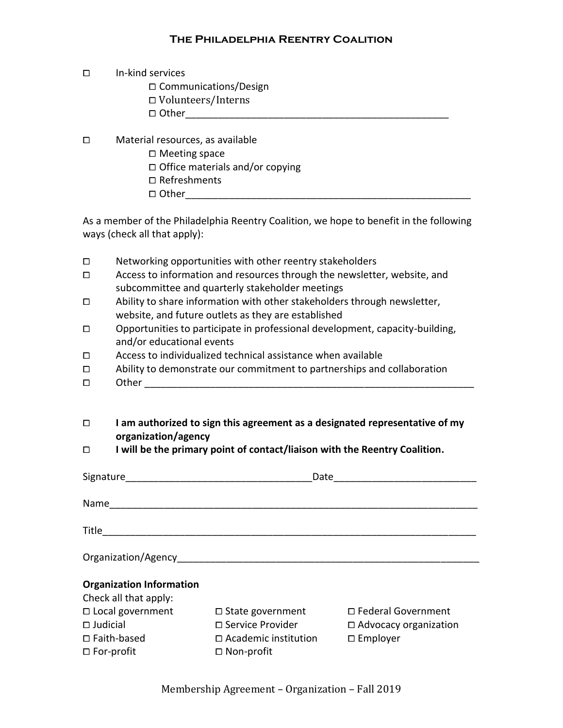## ⧠ In-kind services

□ Communications/Design ⧠ Volunteers/Interns ⧠ Other\_\_\_\_\_\_\_\_\_\_\_\_\_\_\_\_\_\_\_\_\_\_\_\_\_\_\_\_\_\_\_\_\_\_\_\_\_\_\_\_\_\_\_\_\_\_\_\_

⧠ Material resources, as available □ Meeting space □ Office materials and/or copying □ Refreshments ⧠ Other\_\_\_\_\_\_\_\_\_\_\_\_\_\_\_\_\_\_\_\_\_\_\_\_\_\_\_\_\_\_\_\_\_\_\_\_\_\_\_\_\_\_\_\_\_\_\_\_\_\_\_\_

As a member of the Philadelphia Reentry Coalition, we hope to benefit in the following ways (check all that apply):

| $\Box$<br>$\Box$   | Networking opportunities with other reentry stakeholders<br>Access to information and resources through the newsletter, website, and<br>subcommittee and quarterly stakeholder meetings |                                                   |                                                    |  |
|--------------------|-----------------------------------------------------------------------------------------------------------------------------------------------------------------------------------------|---------------------------------------------------|----------------------------------------------------|--|
| □                  | Ability to share information with other stakeholders through newsletter,<br>website, and future outlets as they are established                                                         |                                                   |                                                    |  |
| □                  | Opportunities to participate in professional development, capacity-building,<br>and/or educational events                                                                               |                                                   |                                                    |  |
| □                  | Access to individualized technical assistance when available                                                                                                                            |                                                   |                                                    |  |
| □                  | Ability to demonstrate our commitment to partnerships and collaboration                                                                                                                 |                                                   |                                                    |  |
| $\Box$             |                                                                                                                                                                                         |                                                   |                                                    |  |
| $\Box$             |                                                                                                                                                                                         |                                                   |                                                    |  |
|                    | I am authorized to sign this agreement as a designated representative of my<br>organization/agency                                                                                      |                                                   |                                                    |  |
| $\Box$             | I will be the primary point of contact/liaison with the Reentry Coalition.                                                                                                              |                                                   |                                                    |  |
|                    |                                                                                                                                                                                         |                                                   |                                                    |  |
|                    |                                                                                                                                                                                         |                                                   |                                                    |  |
|                    |                                                                                                                                                                                         |                                                   |                                                    |  |
|                    |                                                                                                                                                                                         |                                                   |                                                    |  |
|                    |                                                                                                                                                                                         |                                                   |                                                    |  |
|                    |                                                                                                                                                                                         |                                                   |                                                    |  |
|                    |                                                                                                                                                                                         |                                                   |                                                    |  |
|                    |                                                                                                                                                                                         |                                                   |                                                    |  |
|                    | <b>Organization Information</b>                                                                                                                                                         |                                                   |                                                    |  |
|                    | Check all that apply:                                                                                                                                                                   |                                                   |                                                    |  |
|                    | □ Local government                                                                                                                                                                      | $\Box$ State government                           | □ Federal Government                               |  |
| $\square$ Judicial | $\Box$ Faith-based                                                                                                                                                                      | □ Service Provider<br>$\Box$ Academic institution | $\Box$ Advocacy organization<br>$\square$ Employer |  |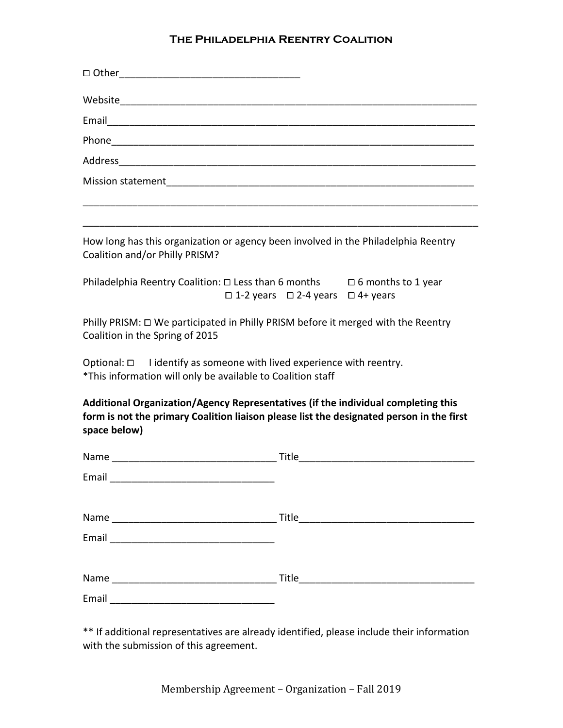| Mission statement The Commission of the Mission statement                                                                                 |                                                                                          |  |
|-------------------------------------------------------------------------------------------------------------------------------------------|------------------------------------------------------------------------------------------|--|
|                                                                                                                                           |                                                                                          |  |
| How long has this organization or agency been involved in the Philadelphia Reentry<br>Coalition and/or Philly PRISM?                      |                                                                                          |  |
| Philadelphia Reentry Coalition: $\Box$ Less than 6 months $\Box$ 6 months to 1 year<br>$\Box$ 1-2 years $\Box$ 2-4 years $\Box$ 4+ years  |                                                                                          |  |
| Philly PRISM: □ We participated in Philly PRISM before it merged with the Reentry<br>Coalition in the Spring of 2015                      |                                                                                          |  |
| Optional: $\Box$ I identify as someone with lived experience with reentry.<br>*This information will only be available to Coalition staff |                                                                                          |  |
| Additional Organization/Agency Representatives (if the individual completing this<br>space below)                                         | form is not the primary Coalition liaison please list the designated person in the first |  |
|                                                                                                                                           |                                                                                          |  |
| Email                                                                                                                                     |                                                                                          |  |
|                                                                                                                                           |                                                                                          |  |
|                                                                                                                                           |                                                                                          |  |
|                                                                                                                                           |                                                                                          |  |
|                                                                                                                                           |                                                                                          |  |

\*\* If additional representatives are already identified, please include their information with the submission of this agreement.